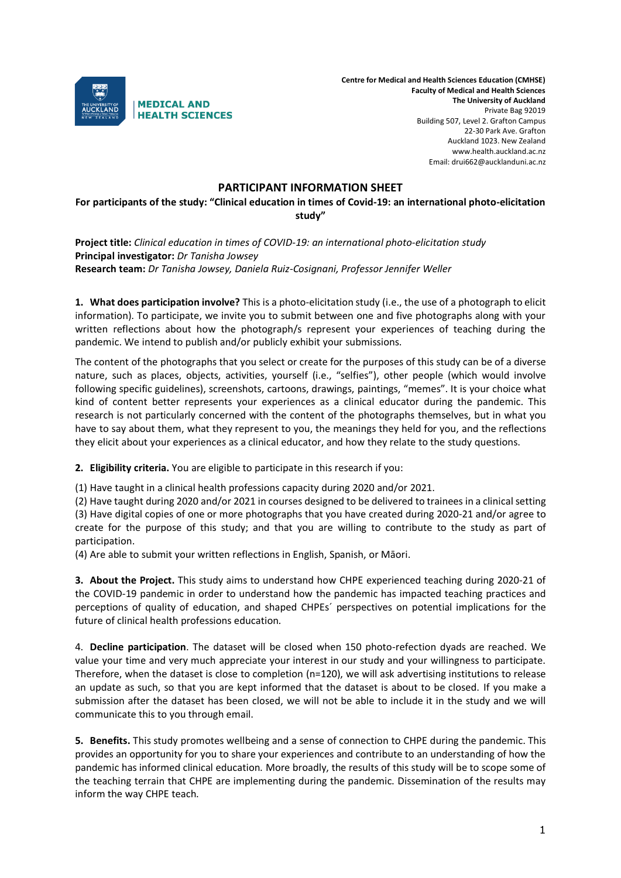

**Centre for Medical and Health Sciences Education (CMHSE) Faculty of Medical and Health Sciences The University of Auckland** Private Bag 92019 Building 507, Level 2. Grafton Campus 22-30 Park Ave. Grafton Auckland 1023. New Zealand www.health.auckland.ac.nz Email: drui662@aucklanduni.ac.nz

## **PARTICIPANT INFORMATION SHEET**

**For participants of the study: "Clinical education in times of Covid-19: an international photo-elicitation study"** 

**Project title:** *Clinical education in times of COVID-19: an international photo-elicitation study* **Principal investigator:** *Dr Tanisha Jowsey* **Research team:** *Dr Tanisha Jowsey, Daniela Ruiz-Cosignani, Professor Jennifer Weller*

**1. What does participation involve?** This is a photo-elicitation study (i.e., the use of a photograph to elicit information). To participate, we invite you to submit between one and five photographs along with your written reflections about how the photograph/s represent your experiences of teaching during the pandemic. We intend to publish and/or publicly exhibit your submissions.

The content of the photographs that you select or create for the purposes of this study can be of a diverse nature, such as places, objects, activities, yourself (i.e., "selfies"), other people (which would involve following specific guidelines), screenshots, cartoons, drawings, paintings, "memes". It is your choice what kind of content better represents your experiences as a clinical educator during the pandemic. This research is not particularly concerned with the content of the photographs themselves, but in what you have to say about them, what they represent to you, the meanings they held for you, and the reflections they elicit about your experiences as a clinical educator, and how they relate to the study questions.

**2. Eligibility criteria.** You are eligible to participate in this research if you:

(1) Have taught in a clinical health professions capacity during 2020 and/or 2021.

(2) Have taught during 2020 and/or 2021 in courses designed to be delivered to trainees in a clinical setting (3) Have digital copies of one or more photographs that you have created during 2020-21 and/or agree to create for the purpose of this study; and that you are willing to contribute to the study as part of participation.

(4) Are able to submit your written reflections in English, Spanish, or Māori.

**3. About the Project.** This study aims to understand how CHPE experienced teaching during 2020-21 of the COVID-19 pandemic in order to understand how the pandemic has impacted teaching practices and perceptions of quality of education, and shaped CHPEs´ perspectives on potential implications for the future of clinical health professions education*.*

4. **Decline participation**. The dataset will be closed when 150 photo-refection dyads are reached. We value your time and very much appreciate your interest in our study and your willingness to participate. Therefore, when the dataset is close to completion (n=120), we will ask advertising institutions to release an update as such, so that you are kept informed that the dataset is about to be closed. If you make a submission after the dataset has been closed, we will not be able to include it in the study and we will communicate this to you through email.

**5. Benefits.** This study promotes wellbeing and a sense of connection to CHPE during the pandemic. This provides an opportunity for you to share your experiences and contribute to an understanding of how the pandemic has informed clinical education. More broadly, the results of this study will be to scope some of the teaching terrain that CHPE are implementing during the pandemic. Dissemination of the results may inform the way CHPE teach.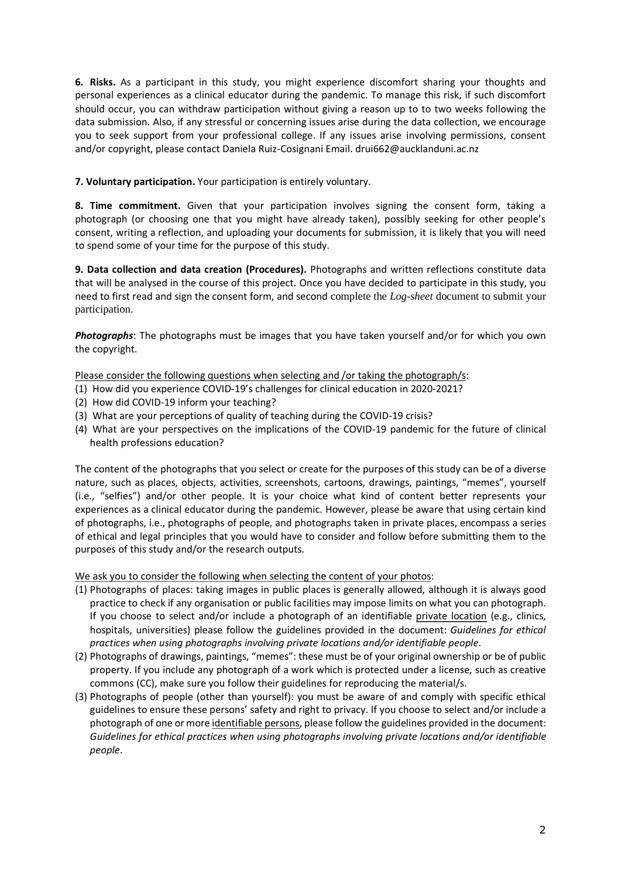**6. Risks.** As a participant in this study, you might experience discomfort sharing your thoughts and personal experiences as a clinical educator during the pandemic. To manage this risk, if such discomfort should occur, you can withdraw participation without giving a reason up to to two weeks following the data submission. Also, if any stressful or concerning issues arise during the data collection, we encourage you to seek support from your professional college. If any issues arise involving permissions, consent and/or copyright, please contact Daniela Ruiz-Cosignani Email. drui662@aucklanduni.ac.nz

**7. Voluntary participation.** Your participation is entirely voluntary.

**8. Time commitment.** Given that your participation involves signing the consent form, taking a photograph (or choosing one that you might have already taken), possibly seeking for other people's consent, writing a reflection, and uploading your documents for submission, it is likely that you will need to spend some of your time for the purpose of this study.

**9. Data collection and data creation (Procedures).** Photographs and written reflections constitute data that will be analysed in the course of this project. Once you have decided to participate in this study, you need to first read and sign the consent form, and second complete the *Log-sheet* document to submit your participation.

*Photographs*: The photographs must be images that you have taken yourself and/or for which you own the copyright.

## Please consider the following questions when selecting and /or taking the photograph/s:

- (1) How did you experience COVID-19's challenges for clinical education in 2020-2021?
- (2) How did COVID-19 inform your teaching?
- (3) What are your perceptions of quality of teaching during the COVID-19 crisis?
- (4) What are your perspectives on the implications of the COVID-19 pandemic for the future of clinical health professions education?

The content of the photographs that you select or create for the purposes of this study can be of a diverse nature, such as places, objects, activities, screenshots, cartoons, drawings, paintings, "memes", yourself (i.e., "selfies") and/or other people. It is your choice what kind of content better represents your experiences as a clinical educator during the pandemic. However, please be aware that using certain kind of photographs, i.e., photographs of people, and photographs taken in private places, encompass a series of ethical and legal principles that you would have to consider and follow before submitting them to the purposes of this study and/or the research outputs.

We ask you to consider the following when selecting the content of your photos:

- (1) Photographs of places: taking images in public places is generally allowed, although it is always good practice to check if any organisation or public facilities may impose limits on what you can photograph. If you choose to select and/or include a photograph of an identifiable private location (e.g., clinics, hospitals, universities) please follow the guidelines provided in the document: *Guidelines for ethical practices when using photographs involving private locations and/or identifiable people*.
- (2) Photographs of drawings, paintings, "memes": these must be of your original ownership or be of public property. If you include any photograph of a work which is protected under a license, such as creative commons (CC), make sure you follow their guidelines for reproducing the material/s.
- (3) Photographs of people (other than yourself): you must be aware of and comply with specific ethical guidelines to ensure these persons' safety and right to privacy. If you choose to select and/or include a photograph of one or more identifiable persons, please follow the guidelines provided in the document: *Guidelines for ethical practices when using photographs involving private locations and/or identifiable people*.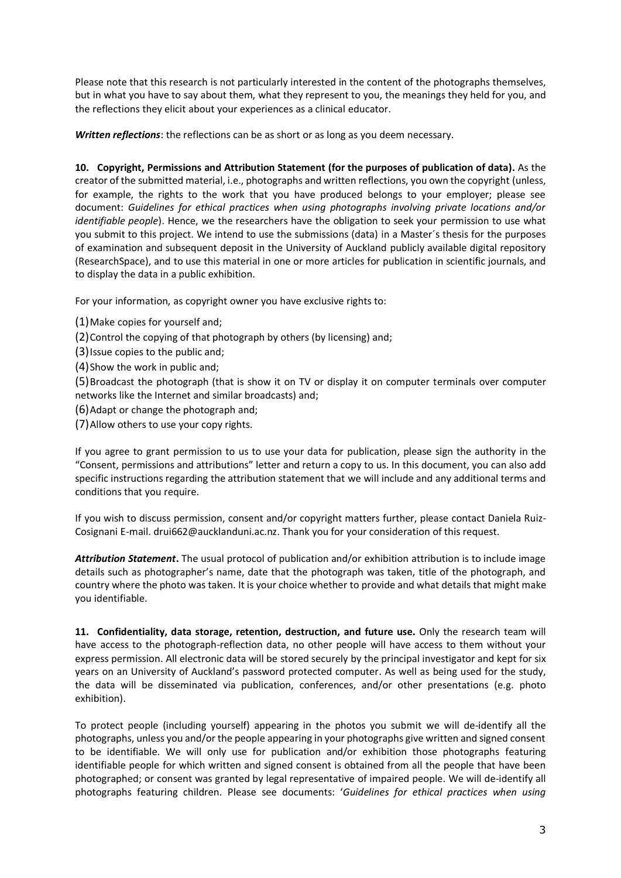Please note that this research is not particularly interested in the content of the photographs themselves, but in what you have to say about them, what they represent to you, the meanings they held for you, and the reflections they elicit about your experiences as a clinical educator.

*Written reflections*: the reflections can be as short or as long as you deem necessary.

**10. Copyright, Permissions and Attribution Statement (for the purposes of publication of data).** As the creator of the submitted material, i.e., photographs and written reflections, you own the copyright (unless, for example, the rights to the work that you have produced belongs to your employer; please see document: *Guidelines for ethical practices when using photographs involving private locations and/or identifiable people*). Hence, we the researchers have the obligation to seek your permission to use what you submit to this project. We intend to use the submissions (data) in a Master´s thesis for the purposes of examination and subsequent deposit in the University of Auckland publicly available digital repository (ResearchSpace), and to use this material in one or more articles for publication in scientific journals, and to display the data in a public exhibition.

For your information, as copyright owner you have exclusive rights to:

- (1)Make copies for yourself and;
- (2)Control the copying of that photograph by others (by licensing) and;
- (3)Issue copies to the public and;
- (4)Show the work in public and;

(5)Broadcast the photograph (that is show it on TV or display it on computer terminals over computer networks like the Internet and similar broadcasts) and;

- (6)Adapt or change the photograph and;
- (7)Allow others to use your copy rights.

If you agree to grant permission to us to use your data for publication, please sign the authority in the "Consent, permissions and attributions" letter and return a copy to us. In this document, you can also add specific instructions regarding the attribution statement that we will include and any additional terms and conditions that you require.

If you wish to discuss permission, consent and/or copyright matters further, please contact Daniela Ruiz-Cosignani E-mail. drui662@aucklanduni.ac.nz. Thank you for your consideration of this request.

*Attribution Statement***.** The usual protocol of publication and/or exhibition attribution is to include image details such as photographer's name, date that the photograph was taken, title of the photograph, and country where the photo was taken. It is your choice whether to provide and what details that might make you identifiable.

**11. Confidentiality, data storage, retention, destruction, and future use.** Only the research team will have access to the photograph-reflection data, no other people will have access to them without your express permission. All electronic data will be stored securely by the principal investigator and kept for six years on an University of Auckland's password protected computer. As well as being used for the study, the data will be disseminated via publication, conferences, and/or other presentations (e.g. photo exhibition).

To protect people (including yourself) appearing in the photos you submit we will de-identify all the photographs, unless you and/or the people appearing in your photographs give written and signed consent to be identifiable. We will only use for publication and/or exhibition those photographs featuring identifiable people for which written and signed consent is obtained from all the people that have been photographed; or consent was granted by legal representative of impaired people. We will de-identify all photographs featuring children. Please see documents: '*Guidelines for ethical practices when using*